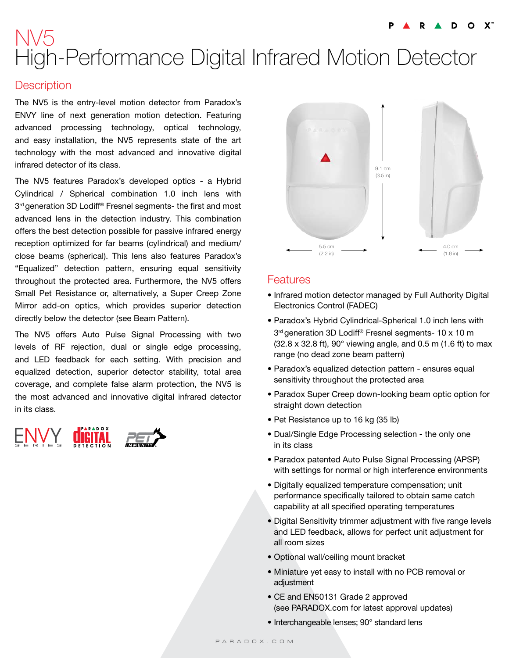# NV5 High-Performance Digital Infrared Motion Detector

#### **Description**

The NV5 is the entry-level motion detector from Paradox's ENVY line of next generation motion detection. Featuring advanced processing technology, optical technology, and easy installation, the NV5 represents state of the art technology with the most advanced and innovative digital infrared detector of its class.

The NV5 features Paradox's developed optics - a Hybrid Cylindrical / Spherical combination 1.0 inch lens with 3 rd generation 3D Lodiff® Fresnel segments- the first and most advanced lens in the detection industry. This combination offers the best detection possible for passive infrared energy reception optimized for far beams (cylindrical) and medium/ close beams (spherical). This lens also features Paradox's "Equalized" detection pattern, ensuring equal sensitivity throughout the protected area. Furthermore, the NV5 offers Small Pet Resistance or, alternatively, a Super Creep Zone Mirror add-on optics, which provides superior detection directly below the detector (see Beam Pattern).

The NV5 offers Auto Pulse Signal Processing with two levels of RF rejection, dual or single edge processing, and LED feedback for each setting. With precision and equalized detection, superior detector stability, total area coverage, and complete false alarm protection, the NV5 is the most advanced and innovative digital infrared detector in its class.





### Features

- Infrared motion detector managed by Full Authority Digital Electronics Control (FADEC)
- Paradox's Hybrid Cylindrical-Spherical 1.0 inch lens with 3 rd generation 3D Lodiff® Fresnel segments- 10 x 10 m (32.8 x 32.8 ft), 90° viewing angle, and 0.5 m (1.6 ft) to max range (no dead zone beam pattern)
- Paradox's equalized detection pattern ensures equal sensitivity throughout the protected area
- Paradox Super Creep down-looking beam optic option for straight down detection
- Pet Resistance up to 16 kg (35 lb)
- Dual/Single Edge Processing selection the only one in its class
- Paradox patented Auto Pulse Signal Processing (APSP) with settings for normal or high interference environments
- Digitally equalized temperature compensation; unit performance specifically tailored to obtain same catch capability at all specified operating temperatures
- Digital Sensitivity trimmer adjustment with five range levels and LED feedback, allows for perfect unit adjustment for all room sizes
- Optional wall/ceiling mount bracket
- Miniature yet easy to install with no PCB removal or adjustment
- CE and EN50131 Grade 2 approved (see PARADOX.com for latest approval updates)
- Interchangeable lenses; 90° standard lens